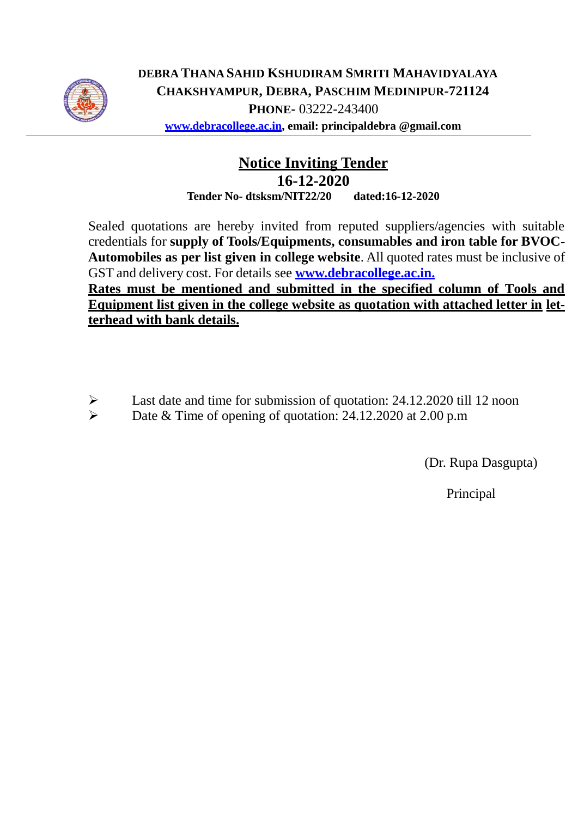

**DEBRA THANA SAHID KSHUDIRAM SMRITI MAHAVIDYALAYA CHAKSHYAMPUR, DEBRA, PASCHIM MEDINIPUR-721124 PHONE-** 03222-243400 **[www.debracollege.ac.in,](http://www.debracollege.ac.in/) email: principaldebra @gmail.com**

## **Notice Inviting Tender**

**16-12-2020 Tender No- dtsksm/NIT22/20 dated:16-12-2020**

Sealed quotations are hereby invited from reputed suppliers/agencies with suitable credentials for **supply of Tools/Equipments, consumables and iron table for BVOC-Automobiles as per list given in college website**. All quoted rates must be inclusive of GST and delivery cost. For details see **[www.debracollege.ac.in.](http://www.debracollege.ac.in/)**

**Rates must be mentioned and submitted in the specified column of Tools and Equipment list given in the college website as quotation with attached letter in letterhead with bank details.**

- Last date and time for submission of quotation: 24.12.2020 till 12 noon
- Date & Time of opening of quotation: 24.12.2020 at 2.00 p.m

(Dr. Rupa Dasgupta)

Principal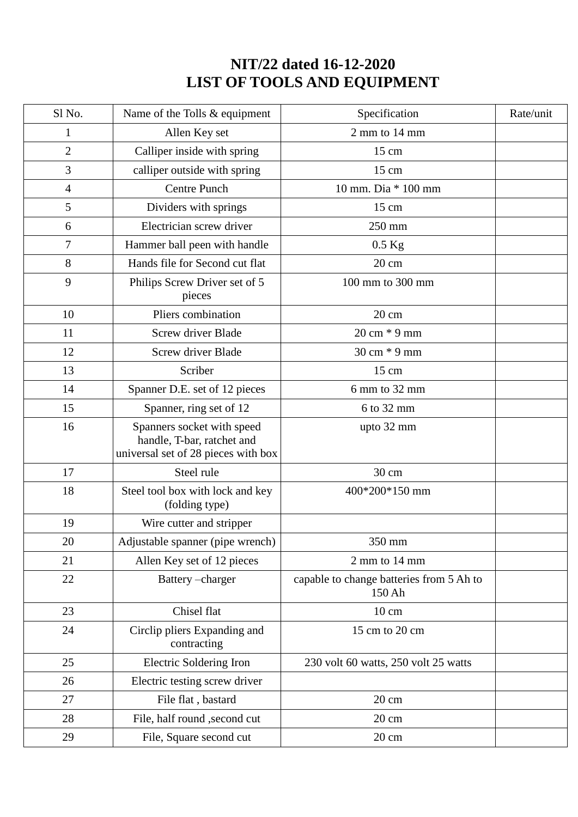## **NIT/22 dated 16-12-2020 LIST OF TOOLS AND EQUIPMENT**

| Sl No.         | Name of the Tolls & equipment                                                                   | Specification                                      | Rate/unit |
|----------------|-------------------------------------------------------------------------------------------------|----------------------------------------------------|-----------|
| 1              | Allen Key set                                                                                   | 2 mm to 14 mm                                      |           |
| $\overline{2}$ | Calliper inside with spring                                                                     | $15 \text{ cm}$                                    |           |
| 3              | calliper outside with spring                                                                    | $15 \text{ cm}$                                    |           |
| $\overline{4}$ | <b>Centre Punch</b>                                                                             | 10 mm. Dia * 100 mm                                |           |
| 5              | Dividers with springs                                                                           | 15 cm                                              |           |
| 6              | Electrician screw driver                                                                        | 250 mm                                             |           |
| 7              | Hammer ball peen with handle                                                                    | $0.5$ Kg                                           |           |
| 8              | Hands file for Second cut flat                                                                  | 20 cm                                              |           |
| 9              | Philips Screw Driver set of 5<br>pieces                                                         | 100 mm to 300 mm                                   |           |
| 10             | Pliers combination                                                                              | 20 cm                                              |           |
| 11             | Screw driver Blade                                                                              | 20 cm * 9 mm                                       |           |
| 12             | Screw driver Blade                                                                              | 30 cm * 9 mm                                       |           |
| 13             | Scriber                                                                                         | 15 cm                                              |           |
| 14             | Spanner D.E. set of 12 pieces                                                                   | 6 mm to 32 mm                                      |           |
| 15             | Spanner, ring set of 12                                                                         | 6 to 32 mm                                         |           |
| 16             | Spanners socket with speed<br>handle, T-bar, ratchet and<br>universal set of 28 pieces with box | upto 32 mm                                         |           |
| 17             | Steel rule                                                                                      | 30 cm                                              |           |
| 18             | Steel tool box with lock and key<br>(folding type)                                              | 400*200*150 mm                                     |           |
| 19             | Wire cutter and stripper                                                                        |                                                    |           |
| 20             | Adjustable spanner (pipe wrench)                                                                | 350 mm                                             |           |
| 21             | Allen Key set of 12 pieces                                                                      | 2 mm to 14 mm                                      |           |
| 22             | Battery-charger                                                                                 | capable to change batteries from 5 Ah to<br>150 Ah |           |
| 23             | Chisel flat                                                                                     | 10 cm                                              |           |
| 24             | Circlip pliers Expanding and<br>contracting                                                     | 15 cm to 20 cm                                     |           |
| 25             | Electric Soldering Iron                                                                         | 230 volt 60 watts, 250 volt 25 watts               |           |
| 26             | Electric testing screw driver                                                                   |                                                    |           |
| 27             | File flat, bastard                                                                              | $20 \text{ cm}$                                    |           |
| 28             | File, half round , second cut                                                                   | $20 \text{ cm}$                                    |           |
| 29             | File, Square second cut                                                                         | $20 \text{ cm}$                                    |           |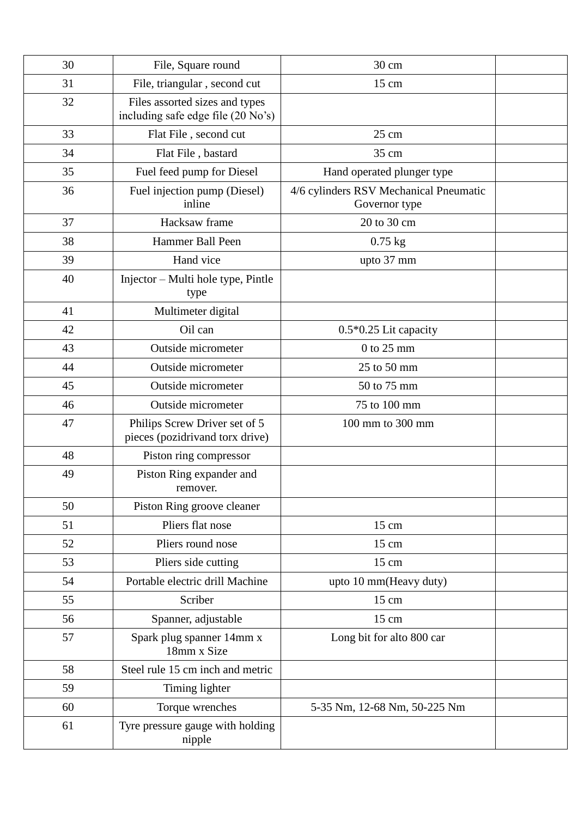| 30 | File, Square round                                                   | 30 cm                                                   |  |
|----|----------------------------------------------------------------------|---------------------------------------------------------|--|
| 31 | File, triangular, second cut                                         | $15 \text{ cm}$                                         |  |
| 32 | Files assorted sizes and types<br>including safe edge file (20 No's) |                                                         |  |
| 33 | Flat File, second cut                                                | $25 \text{ cm}$                                         |  |
| 34 | Flat File, bastard                                                   | 35 cm                                                   |  |
| 35 | Fuel feed pump for Diesel                                            | Hand operated plunger type                              |  |
| 36 | Fuel injection pump (Diesel)<br>inline                               | 4/6 cylinders RSV Mechanical Pneumatic<br>Governor type |  |
| 37 | Hacksaw frame                                                        | 20 to 30 cm                                             |  |
| 38 | Hammer Ball Peen                                                     | $0.75$ kg                                               |  |
| 39 | Hand vice                                                            | upto 37 mm                                              |  |
| 40 | Injector - Multi hole type, Pintle<br>type                           |                                                         |  |
| 41 | Multimeter digital                                                   |                                                         |  |
| 42 | Oil can                                                              | 0.5*0.25 Lit capacity                                   |  |
| 43 | Outside micrometer                                                   | $0$ to 25 mm                                            |  |
| 44 | Outside micrometer                                                   | 25 to 50 mm                                             |  |
| 45 | Outside micrometer                                                   | 50 to 75 mm                                             |  |
| 46 | Outside micrometer                                                   | 75 to 100 mm                                            |  |
| 47 | Philips Screw Driver set of 5<br>pieces (pozidrivand torx drive)     | 100 mm to 300 mm                                        |  |
| 48 | Piston ring compressor                                               |                                                         |  |
| 49 | Piston Ring expander and<br>remover.                                 |                                                         |  |
| 50 | Piston Ring groove cleaner                                           |                                                         |  |
| 51 | Pliers flat nose                                                     | 15 cm                                                   |  |
| 52 | Pliers round nose                                                    | $15 \text{ cm}$                                         |  |
| 53 | Pliers side cutting                                                  | $15 \text{ cm}$                                         |  |
| 54 | Portable electric drill Machine                                      | upto 10 mm(Heavy duty)                                  |  |
| 55 | Scriber                                                              | $15 \text{ cm}$                                         |  |
| 56 | Spanner, adjustable                                                  | 15 cm                                                   |  |
| 57 | Spark plug spanner 14mm x<br>18mm x Size                             | Long bit for alto 800 car                               |  |
| 58 | Steel rule 15 cm inch and metric                                     |                                                         |  |
| 59 | Timing lighter                                                       |                                                         |  |
| 60 | Torque wrenches                                                      | 5-35 Nm, 12-68 Nm, 50-225 Nm                            |  |
| 61 | Tyre pressure gauge with holding<br>nipple                           |                                                         |  |
|    |                                                                      |                                                         |  |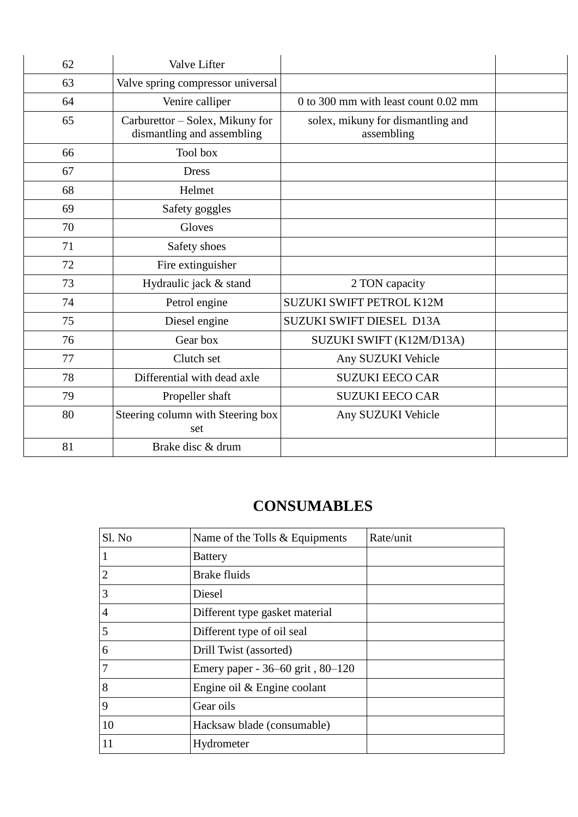| 62 | <b>Valve Lifter</b>                                           |                                                 |  |
|----|---------------------------------------------------------------|-------------------------------------------------|--|
| 63 | Valve spring compressor universal                             |                                                 |  |
| 64 | Venire calliper                                               | 0 to 300 mm with least count 0.02 mm            |  |
| 65 | Carburettor – Solex, Mikuny for<br>dismantling and assembling | solex, mikuny for dismantling and<br>assembling |  |
| 66 | Tool box                                                      |                                                 |  |
| 67 | <b>Dress</b>                                                  |                                                 |  |
| 68 | Helmet                                                        |                                                 |  |
| 69 | Safety goggles                                                |                                                 |  |
| 70 | Gloves                                                        |                                                 |  |
| 71 | Safety shoes                                                  |                                                 |  |
| 72 | Fire extinguisher                                             |                                                 |  |
| 73 | Hydraulic jack & stand                                        | 2 TON capacity                                  |  |
| 74 | Petrol engine                                                 | SUZUKI SWIFT PETROL K12M                        |  |
| 75 | Diesel engine                                                 | SUZUKI SWIFT DIESEL D13A                        |  |
| 76 | Gear box                                                      | SUZUKI SWIFT (K12M/D13A)                        |  |
| 77 | Clutch set                                                    | Any SUZUKI Vehicle                              |  |
| 78 | Differential with dead axle                                   | <b>SUZUKI EECO CAR</b>                          |  |
| 79 | Propeller shaft                                               | <b>SUZUKI EECO CAR</b>                          |  |
| 80 | Steering column with Steering box<br>set                      | Any SUZUKI Vehicle                              |  |
| 81 | Brake disc & drum                                             |                                                 |  |

## **CONSUMABLES**

| Sl. No         | Name of the Tolls & Equipments   | Rate/unit |
|----------------|----------------------------------|-----------|
| 1              | <b>Battery</b>                   |           |
| $\overline{2}$ | <b>Brake fluids</b>              |           |
| 3              | Diesel                           |           |
| 4              | Different type gasket material   |           |
| 5              | Different type of oil seal       |           |
| 6              | Drill Twist (assorted)           |           |
| 7              | Emery paper - 36–60 grit, 80–120 |           |
| 8              | Engine oil & Engine coolant      |           |
| 9              | Gear oils                        |           |
| 10             | Hacksaw blade (consumable)       |           |
| 11             | Hydrometer                       |           |